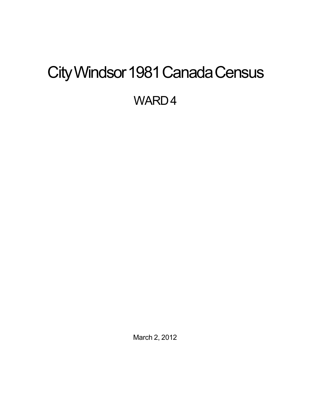# <span id="page-0-0"></span>City Windsor 1981 Canada Census

WARD4

March 2, 2012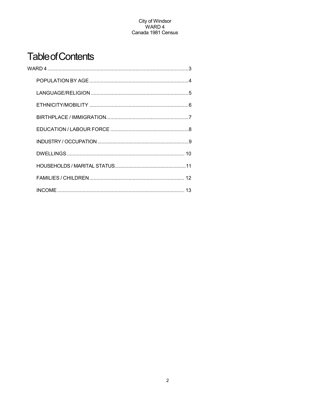## **Table of Contents**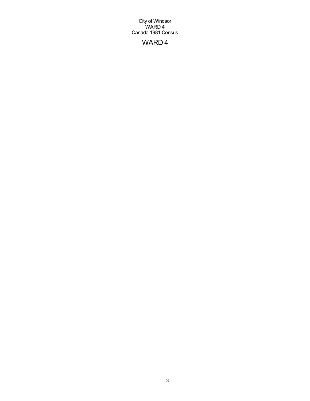## WARD 4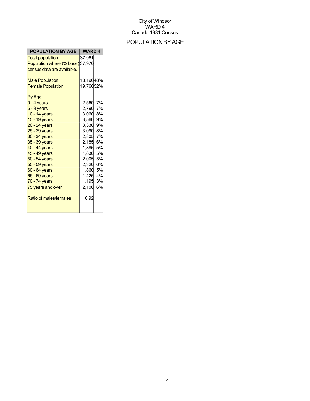## POPULATIONBYAGE

| <b>POPULATION BY AGE</b>         | <b>WARD4</b>       |  |
|----------------------------------|--------------------|--|
| <b>Total population</b>          | 37.961             |  |
| Population where (% base) 37,970 |                    |  |
| census data are available.       |                    |  |
|                                  |                    |  |
| <b>Male Population</b>           | 18,19048%          |  |
| <b>Female Population</b>         | 19,76052%          |  |
| By Age                           |                    |  |
| $0 - 4$ years                    | 7%<br>2,560        |  |
| $5 - 9$ years                    | 2,790<br>7%        |  |
| 10 - 14 years                    | 3,060<br>8%        |  |
| 15 - 19 years                    | 3,560 9%           |  |
| $20 - 24$ years                  | 3,330 9%           |  |
| $25 - 29$ years                  | 3,090 8%           |  |
| 30 - 34 years                    | 2,805<br>7%        |  |
| 35 - 39 years                    | 6%<br>2,185        |  |
| 40 - 44 years                    | 1,885<br>5%        |  |
| 45 - 49 years                    | 1,830<br>5%        |  |
| 50 - 54 years                    | 2,005<br>5%        |  |
| 55 - 59 years                    | 6%<br>2,320        |  |
| 60 - 64 years                    | 1,860<br><b>5%</b> |  |
| 65 - 69 years                    | 1,425<br>4%        |  |
| 70 - 74 years                    | 1,195<br>3%        |  |
| 75 years and over                | 6%<br>2,100        |  |
| Ratio of males/females           | 0.92               |  |
|                                  |                    |  |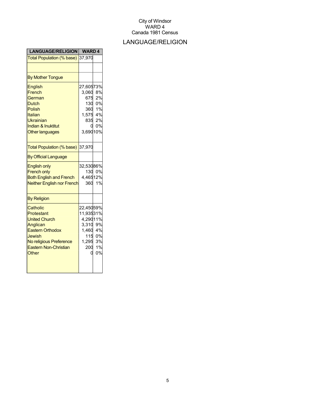## LANGUAGE/RELIGION

| <b>LANGUAGE/RELIGION</b>                                                                                                                                            | <b>WARD4</b>                                                                    |                                          |
|---------------------------------------------------------------------------------------------------------------------------------------------------------------------|---------------------------------------------------------------------------------|------------------------------------------|
| Total Population (% base)                                                                                                                                           | 37,970                                                                          |                                          |
|                                                                                                                                                                     |                                                                                 |                                          |
| <b>By Mother Tongue</b>                                                                                                                                             |                                                                                 |                                          |
| English<br>French<br>German<br><b>Dutch</b><br><b>Polish</b><br>Italian<br>Ukrainian<br><b>Indian &amp; Inuktitut</b><br><b>Other languages</b>                     | 27,60573%<br>3,060<br>675<br>$1,575$ 4%<br>835<br>3,69010%                      | 8%<br>2%<br>130 0%<br>360 1%<br>2%<br>0% |
| Total Population (% base)                                                                                                                                           | 37,970                                                                          |                                          |
| <b>By Official Language</b>                                                                                                                                         |                                                                                 |                                          |
| <b>English only</b><br><b>French only</b><br><b>Both English and French</b><br><b>Neither English nor French</b>                                                    | 32,53086%<br>4,46512%<br>360                                                    | 130 0%<br>1%                             |
| <b>By Religion</b>                                                                                                                                                  |                                                                                 |                                          |
| Catholic<br>Protestant<br><b>United Church</b><br>Anglican<br><b>Eastern Orthodox</b><br>Jewish<br>No religious Preference<br><b>Eastern Non-Christian</b><br>Other | 22,45059%<br>11,93531%<br>4,29011%<br>3,310<br>1,460 4%<br>1,295 3%<br>200<br>በ | 9%<br>115 0%<br>1%<br>0%                 |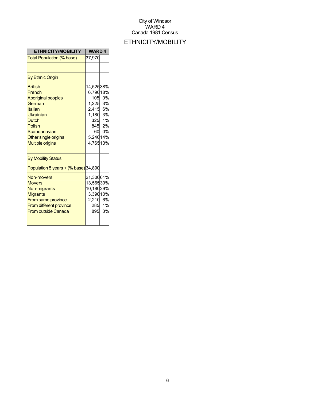## ETHNICITY/MOBILITY

| <b>ETHNICITY/MOBILITY</b>                                                                                                                                                            | <b>WARD4</b>                                                                         |                                        |
|--------------------------------------------------------------------------------------------------------------------------------------------------------------------------------------|--------------------------------------------------------------------------------------|----------------------------------------|
| Total Population (% base)                                                                                                                                                            | 37,970                                                                               |                                        |
|                                                                                                                                                                                      |                                                                                      |                                        |
| <b>By Ethnic Origin</b>                                                                                                                                                              |                                                                                      |                                        |
| <b>British</b><br>French<br><b>Aboriginal peoples</b><br>German<br>Italian<br>Ukrainian<br><b>Dutch</b><br>Polish<br>Scandanavian<br>Other single origins<br><b>Multiple origins</b> | 14,52538%<br>6,79018%<br>1,225<br>2,415 6%<br>1,180 3%<br>60<br>5,24014%<br>4,76513% | 105 0%<br>3%<br>325 1%<br>845 2%<br>0% |
| <b>By Mobility Status</b>                                                                                                                                                            |                                                                                      |                                        |
| Population 5 years $+(%$ base) 34,890                                                                                                                                                |                                                                                      |                                        |
| Non-movers<br><b>Movers</b><br>Non-migrants<br><b>Migrants</b><br><b>From same province</b><br><b>From different province</b><br><b>From outside Canada</b>                          | 21,30061%<br>13,56539%<br>10,18029%<br>3,39010%<br>2,210 6%<br>895                   | 285 1%<br>3%                           |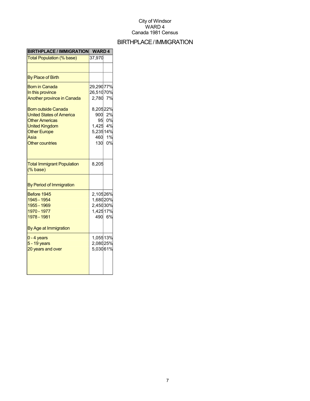## BIRTHPLACE/IMMIGRATION

| <b>BIRTHPLACE / IMMIGRATION</b>                                                                                                                                                                                                                            | <b>WARD4</b>                                                                                |                                  |
|------------------------------------------------------------------------------------------------------------------------------------------------------------------------------------------------------------------------------------------------------------|---------------------------------------------------------------------------------------------|----------------------------------|
| Total Population (% base)                                                                                                                                                                                                                                  | 37,970                                                                                      |                                  |
|                                                                                                                                                                                                                                                            |                                                                                             |                                  |
| <b>By Place of Birth</b>                                                                                                                                                                                                                                   |                                                                                             |                                  |
| <b>Born in Canada</b><br>In this province<br><b>Another province in Canada</b><br><b>Born outside Canada</b><br><b>United States of America</b><br><b>Other Americas</b><br><b>United Kingdom</b><br><b>Other Europe</b><br>Asia<br><b>Other countries</b> | 29,29077%<br>26,51070%<br>2,780<br>8,20522%<br>900<br>95<br>1,425<br>5,23514%<br>460<br>130 | 7%<br>2%<br>0%<br>4%<br>1%<br>0% |
| <b>Total Immigrant Population</b><br>$(% \mathcal{L}^{\prime }\mathcal{L}^{\prime })$ (% base)                                                                                                                                                             | 8,205                                                                                       |                                  |
| By Period of Immigration                                                                                                                                                                                                                                   |                                                                                             |                                  |
| Before 1945<br>1945 - 1954<br>1955 - 1969<br>1970 - 1977<br>1978 - 1981<br>By Age at Immigration                                                                                                                                                           | 2,10526%<br>1,68020%<br>2,45030%<br>1,42517%<br>490                                         | 6%                               |
| $0 - 4$ years<br>5 - 19 years<br>20 years and over                                                                                                                                                                                                         | 1,05513%<br>2,08025%<br>5,03061%                                                            |                                  |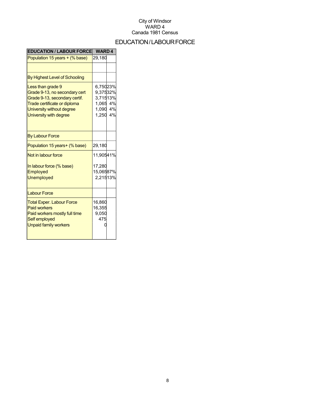## EDUCATION/LABOURFORCE

| <b>EDUCATION / LABOUR FORCE</b>                                                                                                                                            | <b>WARD4</b>                                                         |  |
|----------------------------------------------------------------------------------------------------------------------------------------------------------------------------|----------------------------------------------------------------------|--|
| Population 15 years + (% base)                                                                                                                                             | 29,180                                                               |  |
|                                                                                                                                                                            |                                                                      |  |
| By Highest Level of Schooling                                                                                                                                              |                                                                      |  |
| Less than grade 9<br>Grade 9-13, no secondary cert<br>Grade 9-13, secondary certif.<br>Trade certificate or diploma<br>University without degree<br>University with degree | 6,75023%<br>9,37532%<br>3,71513%<br>1,065 4%<br>1,090 4%<br>1,250 4% |  |
| <b>By Labour Force</b>                                                                                                                                                     |                                                                      |  |
| Population 15 years+ (% base)                                                                                                                                              | 29,180                                                               |  |
| Not in labour force                                                                                                                                                        | 11,90541%                                                            |  |
| In labour force (% base)<br>Employed<br><b>Unemployed</b>                                                                                                                  | 17,280<br>15,06587%<br>2,21513%                                      |  |
| <b>Labour Force</b>                                                                                                                                                        |                                                                      |  |
| <b>Total Exper. Labour Force</b><br><b>Paid workers</b><br>Paid workers mostly full time<br>Self employed<br><b>Unpaid family workers</b>                                  | 16,860<br>16,355<br>9,050<br>475                                     |  |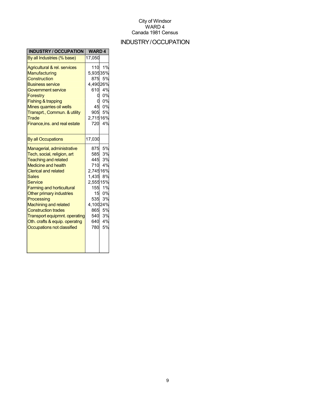## INDUSTRY/OCCUPATION

| <b>INDUSTRY / OCCUPATION</b>                                                                                                                                                                                                                                                                                                                                                                                                        | <b>WARD4</b>                                                                                                          |                                                                      |
|-------------------------------------------------------------------------------------------------------------------------------------------------------------------------------------------------------------------------------------------------------------------------------------------------------------------------------------------------------------------------------------------------------------------------------------|-----------------------------------------------------------------------------------------------------------------------|----------------------------------------------------------------------|
| By all Industries (% base)                                                                                                                                                                                                                                                                                                                                                                                                          | 17,050                                                                                                                |                                                                      |
| Agricultural & rel. services<br>Manufacturing<br>Construction<br><b>Business service</b><br><b>Government service</b><br>Forestry<br>Fishing & trapping<br>Mines quarries oil wells<br>Transprt., Commun. & utility<br>Trade<br>Finance, ins. and real estate                                                                                                                                                                       | 110<br>5,93535%<br>875<br>4,49026%<br>610<br>Ω<br>45<br>905<br>2,71516%<br>720                                        | 1%<br>5%<br>4%<br>0%<br>0%<br>0%<br>5%<br>4%                         |
| <b>By all Occupations</b>                                                                                                                                                                                                                                                                                                                                                                                                           | 17,030                                                                                                                |                                                                      |
| Managerial, administrative<br>Tech, social, religion, art<br><b>Teaching and related</b><br><b>Medicine and health</b><br><b>Clerical and related</b><br><b>Sales</b><br>Service<br><b>Farming and horticultural</b><br>Other primary industries<br>Processing<br><b>Machining and related</b><br><b>Construction trades</b><br><b>Transport equipmnt. operating</b><br>Oth. crafts & equip. operatng<br>Occupations not classified | 875<br>585<br>445<br>710<br>2,74516%<br>1,435<br>2,55515%<br>155<br>15<br>535<br>4,10024%<br>865<br>540<br>640<br>780 | 5%<br>3%<br>3%<br>4%<br>8%<br>1%<br>0%<br>3%<br>5%<br>3%<br>4%<br>5% |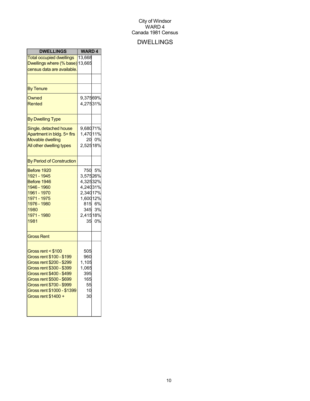## DWELLINGS

| <b>DWELLINGS</b>                                                                                                                                                                                                                                | <b>WARD4</b>                                                                |                                 |
|-------------------------------------------------------------------------------------------------------------------------------------------------------------------------------------------------------------------------------------------------|-----------------------------------------------------------------------------|---------------------------------|
| <b>Total occupied dwellings</b><br>Dwellings where (% base) 13,665<br>census data are available.                                                                                                                                                | 13,668                                                                      |                                 |
| <b>By Tenure</b>                                                                                                                                                                                                                                |                                                                             |                                 |
| Owned<br>Rented                                                                                                                                                                                                                                 | 9,37569%<br>4,27531%                                                        |                                 |
| <b>By Dwelling Type</b>                                                                                                                                                                                                                         |                                                                             |                                 |
| Single, detached house<br>Apartment in bldg. 5+ firs<br><b>Movable dwelling</b><br>All other dwelling types                                                                                                                                     | 9,68071%<br>1,47011%<br>2,52518%                                            | 20 0%                           |
| <b>By Period of Construction</b>                                                                                                                                                                                                                |                                                                             |                                 |
| Before 1920<br>1921 - 1945<br>Before 1946<br>1946 - 1960<br>1961 - 1970<br>1971 - 1975<br>1976 - 1980<br>1980<br>1971 - 1980<br>1981                                                                                                            | 3,57526%<br>4,32532%<br>4,24031%<br>2,34017%<br>1,60012%<br>345<br>2,41518% | 750 5%<br>815 6%<br>3%<br>35 0% |
| <b>Gross Rent</b>                                                                                                                                                                                                                               |                                                                             |                                 |
| Gross rent < \$100<br>Gross rent \$100 - \$199<br>Gross rent \$200 - \$299<br>Gross rent \$300 - \$399<br>Gross rent \$400 - \$499<br>Gross rent \$500 - \$699<br>Gross rent \$700 - \$999<br>Gross rent \$1000 - \$1399<br>Gross rent \$1400 + | 505<br>960<br>1,105<br>1,065<br>395<br>165<br>55<br>10<br>30                |                                 |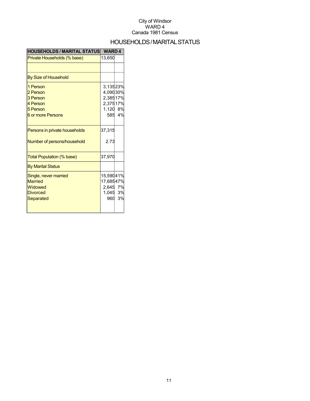## HOUSEHOLDS/MARITALSTATUS

| <b>HOUSEHOLDS / MARITAL STATUS</b>                                                 | <b>WARD4</b>                                             |        |
|------------------------------------------------------------------------------------|----------------------------------------------------------|--------|
| Private Households (% base)                                                        | 13,650                                                   |        |
|                                                                                    |                                                          |        |
| By Size of Household                                                               |                                                          |        |
| 1 Person<br>2 Person<br>3 Person<br>4 Person<br>5 Person<br>6 or more Persons      | 3,13523%<br>4,09030%<br>2,38517%<br>2,37517%<br>1,120 8% | 585 4% |
| Persons in private households<br>Number of persons/household                       | 37,315<br>2.73                                           |        |
| Total Population (% base)                                                          | 37,970                                                   |        |
| <b>By Marital Status</b>                                                           |                                                          |        |
| Single, never married<br><b>Married</b><br>Widowed<br><b>Divorced</b><br>Separated | 15,59041%<br>17,68547%<br>2,645 7%<br>1,045 3%<br>960    | 3%     |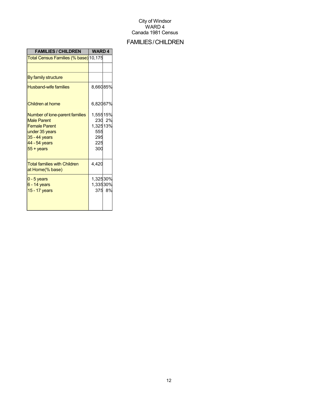## FAMILIES/CHILDREN

| <b>FAMILIES / CHILDREN</b>                                                                                                                                | <b>WARD4</b>                                     |        |
|-----------------------------------------------------------------------------------------------------------------------------------------------------------|--------------------------------------------------|--------|
| <mark>Total Census Families (% base)</mark> 10,175                                                                                                        |                                                  |        |
|                                                                                                                                                           |                                                  |        |
| By family structure                                                                                                                                       |                                                  |        |
| <b>Husband-wife families</b>                                                                                                                              | 8,66085%                                         |        |
| Children at home                                                                                                                                          | 6,82067%                                         |        |
| Number of lone-parent families<br><b>Male Parent</b><br><b>Female Parent</b><br>under 35 years<br>35 - 44 years<br>44 - 54 years<br>$55 + \mathrm{years}$ | 1,55515%<br>1,32513%<br>555<br>295<br>225<br>300 | 230 2% |
| <b>Total families with Children</b><br>at Home(% base)                                                                                                    | 4,420                                            |        |
| $0 - 5$ years<br>6 - 14 years<br>15 - 17 years                                                                                                            | 1,32530%<br>1,33530%                             | 375 8% |